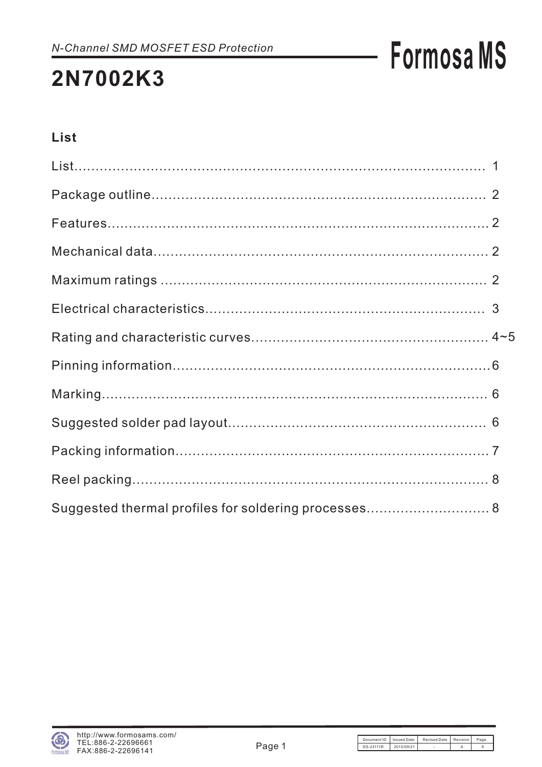### 2N7002K3

### List

| Suggested thermal profiles for soldering processes 8 |  |
|------------------------------------------------------|--|

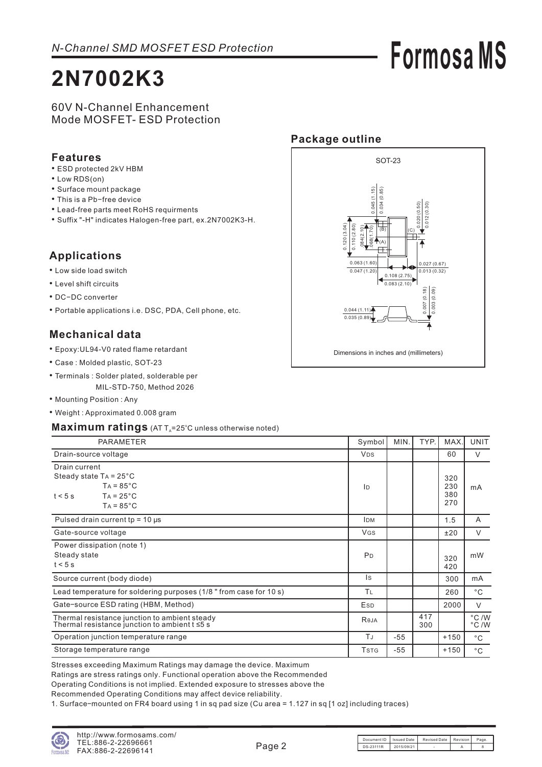## **2N7002K3**

# **Formosa MS**

#### 60V N-Channel Enhancement Mode MOSFET- ESD Protection

#### **Features**

- ESD protected 2kV HBM
- Low RDS(on)
- Surface mount package
- This is a Pb-free device
- Lead-free parts meet RoHS requirments
- Suffix "-H" indicates Halogen-free part, ex.2N7002K3-H.

#### **Applications**

- Low side load switch
- Level shift circuits
- DC-DC converter
- Portable applications i.e. DSC, PDA, Cell phone, etc.

#### **Mechanical data**

- Epoxy:UL94-V0 rated flame retardant •
- Case : Molded plastic, SOT-23
- Terminals : Solder plated, solderable per MIL-STD-750, Method 2026
- Mounting Position: Any
- Weight : Approximated 0.008 gram

#### Maximum ratings (AT T<sub>A</sub>=25°C unless otherwise noted)

| PARAMETER                                                                                                                       | Symbol         | MIN.  | TYP.       | MAX.                     | <b>UNIT</b>  |
|---------------------------------------------------------------------------------------------------------------------------------|----------------|-------|------------|--------------------------|--------------|
| Drain-source voltage                                                                                                            | <b>VDS</b>     |       |            | 60                       | $\vee$       |
| Drain current<br>Steady state $Ta = 25^{\circ}C$<br>$TA = 85^{\circ}C$<br>$TA = 25^{\circ}C$<br>$t < 5$ s<br>$TA = 85^{\circ}C$ | ID             |       |            | 320<br>230<br>380<br>270 | mA           |
| Pulsed drain current tp = $10 \mu s$                                                                                            | <b>IDM</b>     |       |            | 1.5                      | A            |
| Gate-source voltage                                                                                                             | <b>VGS</b>     |       |            | ±20                      | V            |
| Power dissipation (note 1)<br>Steady state<br>$t < 5$ s                                                                         | P <sub>D</sub> |       |            | 320<br>420               | mW           |
| Source current (body diode)                                                                                                     | ls.            |       |            | 300                      | mA           |
| Lead temperature for soldering purposes (1/8 " from case for 10 s)                                                              | TL             |       |            | 260                      | $^{\circ}$ C |
| Gate-source ESD rating (HBM, Method)                                                                                            | Esp            |       |            | 2000                     | $\vee$       |
| Thermal resistance junction to ambient steady<br>Thermal resistance junction to ambient $t \leq 5$ s                            | Reja           |       | 417<br>300 |                          | °C/W<br>°C/W |
| Operation junction temperature range                                                                                            | ΤJ             | $-55$ |            | $+150$                   | $^{\circ}$ C |
| Storage temperature range                                                                                                       | <b>TSTG</b>    | $-55$ |            | $+150$                   | $^{\circ}$ C |

Stresses exceeding Maximum Ratings may damage the device. Maximum

Ratings are stress ratings only. Functional operation above the Recommended

Operating Conditions is not implied Extended exposure to stresses above the .

Recommended Operating Conditions may affect device reliability .

1. Surface-mounted on FR4 board using 1 in sq pad size (Cu area = 1.127 in sq [1 oz] including traces)





Document ID | Issued Date | Revised Date | Revision | Page  $DS-23111R$   $2015/09/21$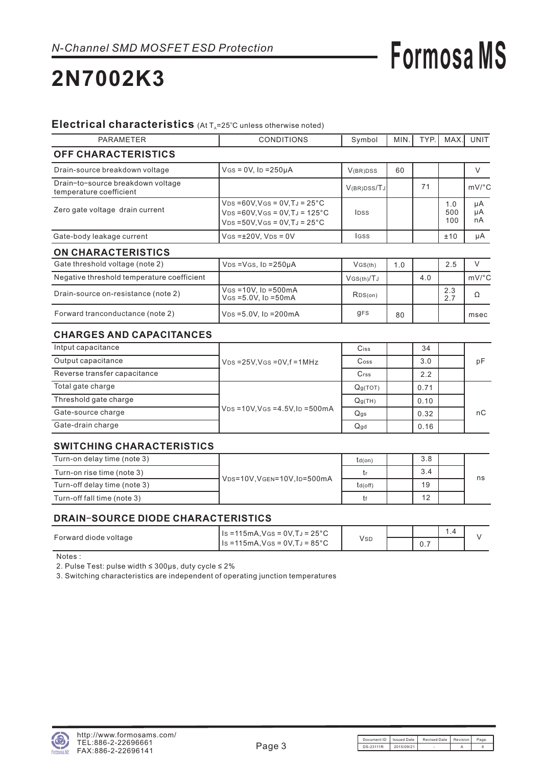## **2N7002K3**

#### Electrical characteristics (At T<sub>A</sub>=25°C unless otherwise noted)

| <b>PARAMETER</b>                                             | <b>CONDITIONS</b>                                                                                                                          | Symbol               | MIN. | TYP. | MAX.              | <b>UNIT</b>           |
|--------------------------------------------------------------|--------------------------------------------------------------------------------------------------------------------------------------------|----------------------|------|------|-------------------|-----------------------|
| <b>OFF CHARACTERISTICS</b>                                   |                                                                                                                                            |                      |      |      |                   |                       |
| Drain-source breakdown voltage                               | $V$ GS = 0V, ID = 250µA                                                                                                                    | V(BR)DSS             | 60   |      |                   | V                     |
| Drain-to-source breakdown voltage<br>temperature coefficient |                                                                                                                                            | V(BR)DSS/TJ          |      | 71   |                   | $mV$ <sup>o</sup> $C$ |
| Zero gate voltage drain current                              | $VDS = 60V$ , $VGS = 0V$ , $TJ = 25°C$<br>$VDS = 60V$ , $VGS = 0V$ , $TJ = 125°C$<br><b>IDSS</b><br>$VDS = 50V$ , $VGS = 0V$ , $TJ = 25°C$ |                      |      |      | 1.0<br>500<br>100 | μA<br>μA<br>nA        |
| Gate-body leakage current                                    | $V$ GS = $\pm$ 20V, V <sub>DS</sub> = 0V                                                                                                   | <b>IGSS</b>          |      |      | ±10               | μA                    |
| <b>ON CHARACTERISTICS</b>                                    |                                                                                                                                            |                      |      |      |                   |                       |
| Gate threshold voltage (note 2)                              | $VDS = VGS$ , $ID = 250\mu A$                                                                                                              | VGS(th)              | 1.0  |      | 2.5               | $\vee$                |
| Negative threshold temperature coefficient                   |                                                                                                                                            | $V$ GS(th) $/TJ$     |      | 4.0  |                   | $mV$ <sup>°</sup> C   |
| Drain-source on-resistance (note 2)                          | $V$ GS = 10V, ID = 500mA<br>$V$ GS = 5.0V, ID = 50 mA                                                                                      | RDS(on)              |      |      | 2.3<br>2.7        | Ω                     |
| Forward tranconductance (note 2)                             | $V_{DS} = 5.0V$ , Ip = 200 mA                                                                                                              | <b>gFS</b>           | 80   |      |                   | msec                  |
| <b>CHARGES AND CAPACITANCES</b>                              |                                                                                                                                            |                      |      |      |                   |                       |
| Intput capacitance                                           |                                                                                                                                            | Ciss                 |      | 34   |                   |                       |
| Output capacitance                                           | $V_{DS}$ =25V, VGS = 0V, f = 1 MHz                                                                                                         | Coss                 |      | 3.0  |                   | pF                    |
| Reverse transfer capacitance                                 |                                                                                                                                            | $C$ rss              |      | 2.2  |                   |                       |
| Total gate charge                                            |                                                                                                                                            | Q <sub>g</sub> (TOT) |      | 0.71 |                   |                       |
| Threshold gate charge                                        |                                                                                                                                            | Q <sub>q</sub> (TH)  |      | 0.10 |                   |                       |
| Gate-source charge                                           | $V_{DS} = 10V$ , $V_{GS} = 4.5V$ , $I_D = 500mA$                                                                                           | Q <sub>qs</sub>      |      | 0.32 |                   | nC                    |
| Gate-drain charge                                            |                                                                                                                                            | Qqd                  |      | 0.16 |                   |                       |

#### **SWITCHING CHARACTERISTICS**

| Turn-on delay time (note 3)  | VDS=10V, VGEN=10V, ID=500mA | $td($ on $)$ | 3.8 |  |    |
|------------------------------|-----------------------------|--------------|-----|--|----|
| Turn-on rise time (note 3)   |                             |              | 3.4 |  |    |
| Turn-off delay time (note 3) |                             | td(off)      | 19  |  | ns |
| Turn-off fall time (note 3)  |                             |              | 12  |  |    |

#### **DRAIN SOURCE DIODE CHARACTERISTICS** −

|                       | $\vert$ Is =115mA, Vgs = 0V, TJ = 25 °C |     |                   | ۰., |  |
|-----------------------|-----------------------------------------|-----|-------------------|-----|--|
| Forward diode voltage | $l$ Is =115mA, Vgs = 0V, TJ = 85°C      | Vsp | $\cup$ . $\prime$ |     |  |

Notes :

2. Pulse Test: pulse width ≤ 300µs, duty cycle ≤ 2%

3. Switching characteristics are independent of operating junction temperatures

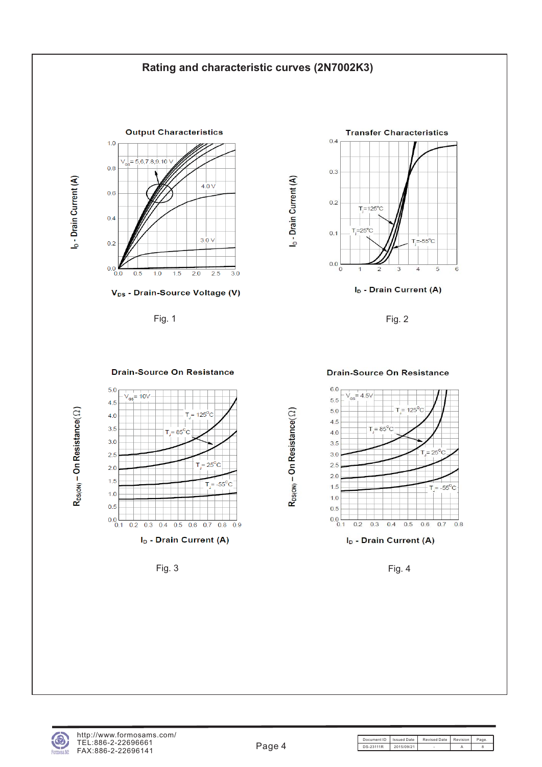#### **Rating and characteristic curves (2N7002K3)**

I<sub>D</sub> - Drain Current (A)



V<sub>DS</sub> - Drain-Source Voltage (V)



I<sub>D</sub> - Drain Current (A)

Fig. 1 Fig. 2



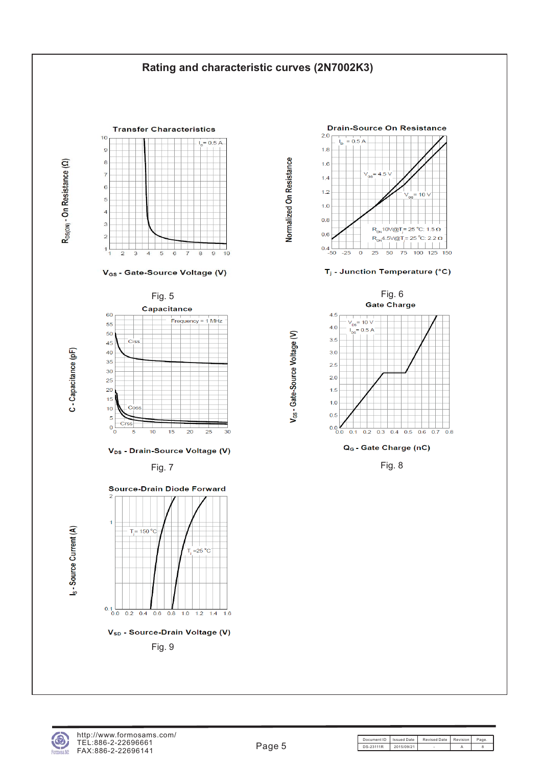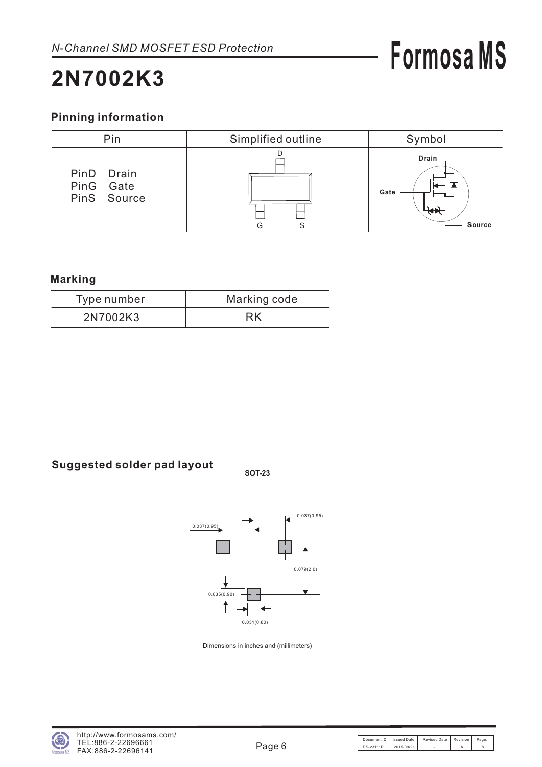### **2N7002K3**

#### **Pinning information**



#### **Marking**

| Type number | Marking code |
|-------------|--------------|
| 2N7002K3    |              |

### **Suggested solder pad layout SOT-23**





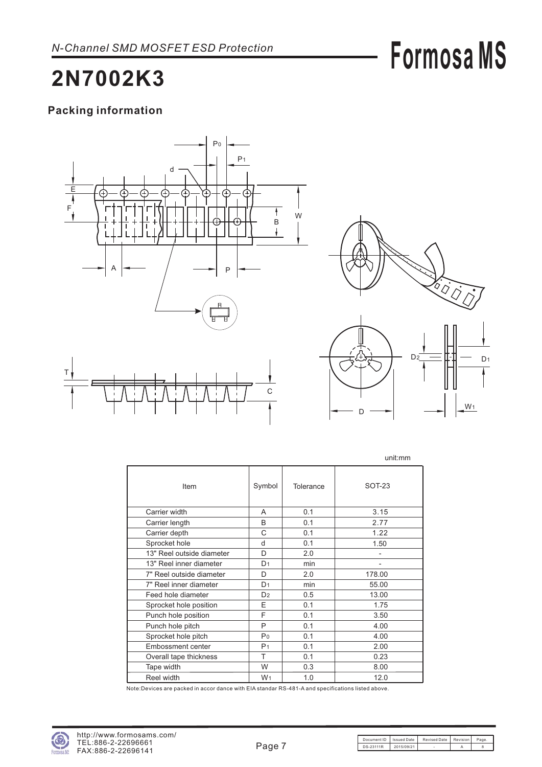## **2N7002K3**

#### **Packing information**





|                           |                |           | unit:mm       |
|---------------------------|----------------|-----------|---------------|
| Item                      | Symbol         | Tolerance | <b>SOT-23</b> |
| Carrier width             | A              | 0.1       | 3.15          |
| Carrier length            | B              | 0.1       | 2.77          |
| Carrier depth             | C              | 0.1       | 1.22          |
| Sprocket hole             | d              | 0.1       | 1.50          |
| 13" Reel outside diameter | D              | 2.0       |               |
| 13" Reel inner diameter   | D <sub>1</sub> | min       |               |
| 7" Reel outside diameter  | D              | 2.0       | 178.00        |
| 7" Reel inner diameter    | D <sub>1</sub> | min       | 55.00         |
| Feed hole diameter        | D <sub>2</sub> | 0.5       | 13.00         |
| Sprocket hole position    | E              | 0.1       | 1.75          |
| Punch hole position       | F              | 0.1       | 3.50          |
| Punch hole pitch          | P              | 0.1       | 4.00          |
| Sprocket hole pitch       | Po             | 0.1       | 4.00          |
| Embossment center         | P <sub>1</sub> | 0.1       | 2.00          |
| Overall tape thickness    | т              | 0.1       | 0.23          |
| Tape width                | W              | 0.3       | 8.00          |
| Reel width                | W <sub>1</sub> | 1.0       | 12.0          |

Note:Devices are packed in accor dance with EIA standar RS-481-A and specifications listed above.